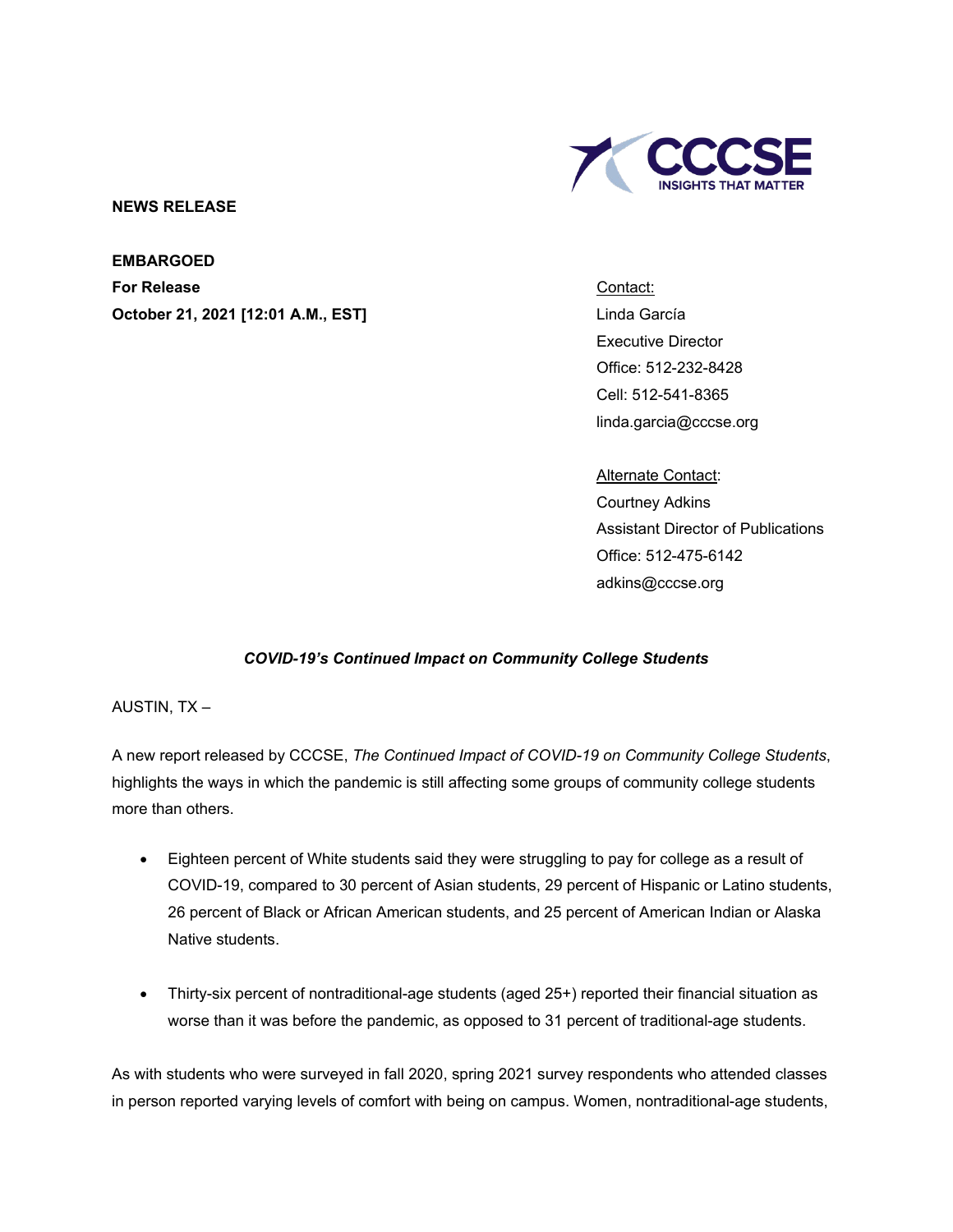

## **NEWS RELEASE**

## **EMBARGOED**

**For Release October 21, 2021 [12:01 A.M., EST]** Contact: Linda García Executive Director Office: 512-232-8428 Cell: 512-541-8365 linda.garcia@cccse.org

Alternate Contact: Courtney Adkins Assistant Director of Publications Office: 512-475-6142 adkins@cccse.org

## *COVID-19's Continued Impact on Community College Students*

AUSTIN, TX –

A new report released by CCCSE, *The Continued Impact of COVID-19 on Community College Students*, highlights the ways in which the pandemic is still affecting some groups of community college students more than others.

- Eighteen percent of White students said they were struggling to pay for college as a result of COVID-19, compared to 30 percent of Asian students, 29 percent of Hispanic or Latino students, 26 percent of Black or African American students, and 25 percent of American Indian or Alaska Native students.
- Thirty-six percent of nontraditional-age students (aged 25+) reported their financial situation as worse than it was before the pandemic, as opposed to 31 percent of traditional-age students.

As with students who were surveyed in fall 2020, spring 2021 survey respondents who attended classes in person reported varying levels of comfort with being on campus. Women, nontraditional-age students,